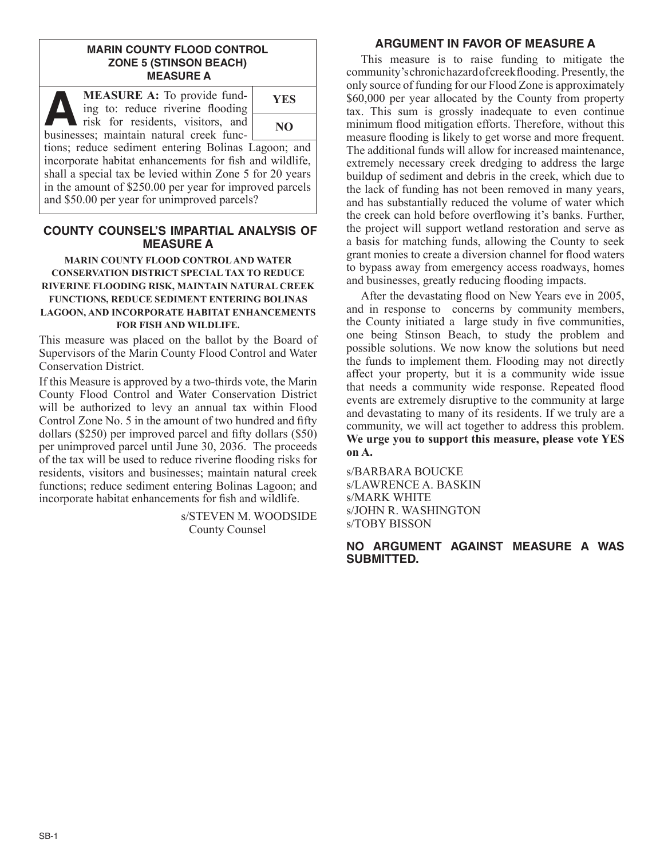### **MARIN COUNTY FLOOD CONTROL ZONE 5 (STINSON BEACH) MEASURE A**

| <b>MEASURE A:</b> To provide fund-<br>W<br>ing to: reduce riverine flooding   | <b>YES</b> |
|-------------------------------------------------------------------------------|------------|
| risk for residents, visitors, and<br>businesses; maintain natural creek func- | NO.        |

tions; reduce sediment entering Bolinas Lagoon; and incorporate habitat enhancements for fish and wildlife, shall a special tax be levied within Zone 5 for 20 years in the amount of \$250.00 per year for improved parcels and \$50.00 per year for unimproved parcels?

## **COUNTY COUNSEL'S IMPARTIAL ANALYSIS OF MEASURE A**

### **MARIN COUNTY FLOOD CONTROL AND WATER CONSERVATION DISTRICT SPECIAL TAX TO REDUCE RIVERINE FLOODING RISK, MAINTAIN NATURAL CREEK FUNCTIONS, REDUCE SEDIMENT ENTERING BOLINAS LAGOON, AND INCORPORATE HABITAT ENHANCEMENTS FOR FISH AND WILDLIFE.**

This measure was placed on the ballot by the Board of Supervisors of the Marin County Flood Control and Water Conservation District.

If this Measure is approved by a two-thirds vote, the Marin County Flood Control and Water Conservation District will be authorized to levy an annual tax within Flood Control Zone No. 5 in the amount of two hundred and fifty dollars (\$250) per improved parcel and fifty dollars (\$50) per unimproved parcel until June 30, 2036. The proceeds of the tax will be used to reduce riverine flooding risks for residents, visitors and businesses; maintain natural creek functions; reduce sediment entering Bolinas Lagoon; and incorporate habitat enhancements for fish and wildlife.

> s/STEVEN M. WOODSIDE County Counsel

# **ARGUMENT IN FAVOR OF MEASURE A**

This measure is to raise funding to mitigate the community's chronic hazard of creek flooding. Presently, the only source of funding for our Flood Zone is approximately \$60,000 per year allocated by the County from property tax. This sum is grossly inadequate to even continue minimum flood mitigation efforts. Therefore, without this measure flooding is likely to get worse and more frequent. The additional funds will allow for increased maintenance, extremely necessary creek dredging to address the large buildup of sediment and debris in the creek, which due to the lack of funding has not been removed in many years, and has substantially reduced the volume of water which the creek can hold before overflowing it's banks. Further, the project will support wetland restoration and serve as a basis for matching funds, allowing the County to seek grant monies to create a diversion channel for flood waters to bypass away from emergency access roadways, homes and businesses, greatly reducing flooding impacts.

After the devastating flood on New Years eve in 2005, and in response to concerns by community members, the County initiated a large study in five communities, one being Stinson Beach, to study the problem and possible solutions. We now know the solutions but need the funds to implement them. Flooding may not directly affect your property, but it is a community wide issue that needs a community wide response. Repeated flood events are extremely disruptive to the community at large and devastating to many of its residents. If we truly are a community, we will act together to address this problem. **We urge you to support this measure, please vote YES on A.**

s/BARBARA BOUCKE s/LAWRENCE A. BASKIN s/MARK WHITE s/JOHN R. WASHINGTON s/TOBY BISSON

### **NO ARGUMENT AGAINST MEASURE A WAS SUBMITTED.**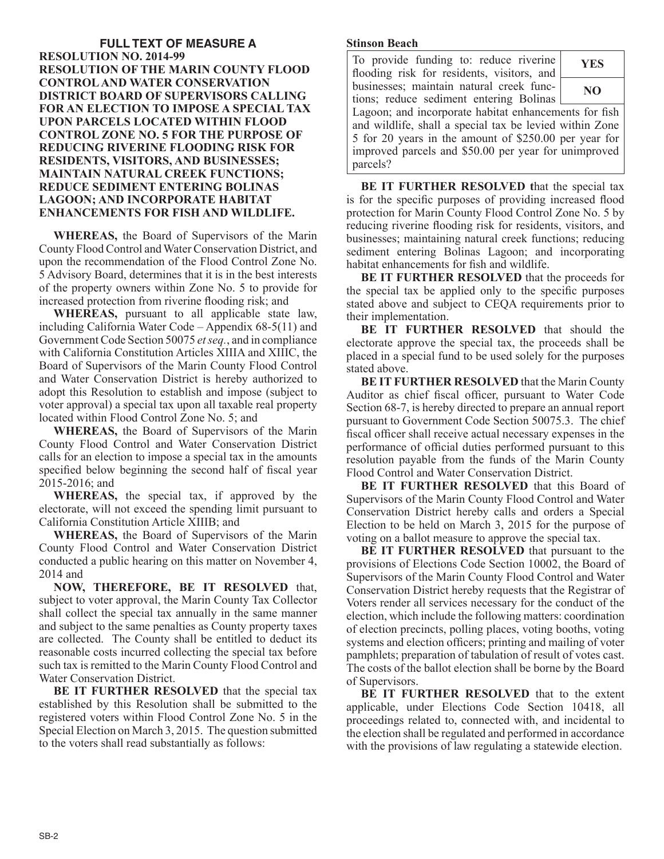### **FULL TEXT OF MEASURE A RESOLUTION NO. 2014-99 RESOLUTION OF THE MARIN COUNTY FLOOD CONTROL AND WATER CONSERVATION DISTRICT BOARD OF SUPERVISORS CALLING FOR AN ELECTION TO IMPOSE A SPECIAL TAX UPON PARCELS LOCATED WITHIN FLOOD CONTROL ZONE NO. 5 FOR THE PURPOSE OF REDUCING RIVERINE FLOODING RISK FOR RESIDENTS, VISITORS, AND BUSINESSES; MAINTAIN NATURAL CREEK FUNCTIONS; REDUCE SEDIMENT ENTERING BOLINAS LAGOON; AND INCORPORATE HABITAT ENHANCEMENTS FOR FISH AND WILDLIFE.**

**WHEREAS,** the Board of Supervisors of the Marin County Flood Control and Water Conservation District, and upon the recommendation of the Flood Control Zone No. 5 Advisory Board, determines that it is in the best interests of the property owners within Zone No. 5 to provide for increased protection from riverine flooding risk; and

**WHEREAS,** pursuant to all applicable state law, including California Water Code – Appendix 68-5(11) and Government Code Section 50075 *et seq.*, and in compliance with California Constitution Articles XIIIA and XIIIC, the Board of Supervisors of the Marin County Flood Control and Water Conservation District is hereby authorized to adopt this Resolution to establish and impose (subject to voter approval) a special tax upon all taxable real property located within Flood Control Zone No. 5; and

**WHEREAS,** the Board of Supervisors of the Marin County Flood Control and Water Conservation District calls for an election to impose a special tax in the amounts specified below beginning the second half of fiscal year 2015-2016; and

**WHEREAS,** the special tax, if approved by the electorate, will not exceed the spending limit pursuant to California Constitution Article XIIIB; and

**WHEREAS,** the Board of Supervisors of the Marin County Flood Control and Water Conservation District conducted a public hearing on this matter on November 4, 2014 and

**NOW, THEREFORE, BE IT RESOLVED** that, subject to voter approval, the Marin County Tax Collector shall collect the special tax annually in the same manner and subject to the same penalties as County property taxes are collected. The County shall be entitled to deduct its reasonable costs incurred collecting the special tax before such tax is remitted to the Marin County Flood Control and Water Conservation District.

**BE IT FURTHER RESOLVED** that the special tax established by this Resolution shall be submitted to the registered voters within Flood Control Zone No. 5 in the Special Election on March 3, 2015. The question submitted to the voters shall read substantially as follows:

#### **Stinson Beach**

| To provide funding to: reduce riverine<br>flooding risk for residents, visitors, and                                                                                                                                                          | <b>YES</b> |
|-----------------------------------------------------------------------------------------------------------------------------------------------------------------------------------------------------------------------------------------------|------------|
| businesses; maintain natural creek func-<br>tions; reduce sediment entering Bolinas                                                                                                                                                           | NO         |
| Lagoon; and incorporate habitat enhancements for fish<br>and wildlife, shall a special tax be levied within Zone<br>5 for 20 years in the amount of \$250.00 per year for<br>improved parcels and \$50.00 per year for unimproved<br>parcels? |            |

**BE IT FURTHER RESOLVED t**hat the special tax is for the specific purposes of providing increased flood protection for Marin County Flood Control Zone No. 5 by reducing riverine flooding risk for residents, visitors, and businesses; maintaining natural creek functions; reducing sediment entering Bolinas Lagoon; and incorporating habitat enhancements for fish and wildlife.

**BE IT FURTHER RESOLVED** that the proceeds for the special tax be applied only to the specific purposes stated above and subject to CEQA requirements prior to their implementation.

**BE IT FURTHER RESOLVED** that should the electorate approve the special tax, the proceeds shall be placed in a special fund to be used solely for the purposes stated above.

**BE IT FURTHER RESOLVED** that the Marin County Auditor as chief fiscal officer, pursuant to Water Code Section 68-7, is hereby directed to prepare an annual report pursuant to Government Code Section 50075.3. The chief fiscal officer shall receive actual necessary expenses in the performance of official duties performed pursuant to this resolution payable from the funds of the Marin County Flood Control and Water Conservation District.

**BE IT FURTHER RESOLVED** that this Board of Supervisors of the Marin County Flood Control and Water Conservation District hereby calls and orders a Special Election to be held on March 3, 2015 for the purpose of voting on a ballot measure to approve the special tax.

**BE IT FURTHER RESOLVED** that pursuant to the provisions of Elections Code Section 10002, the Board of Supervisors of the Marin County Flood Control and Water Conservation District hereby requests that the Registrar of Voters render all services necessary for the conduct of the election, which include the following matters: coordination of election precincts, polling places, voting booths, voting systems and election officers; printing and mailing of voter pamphlets; preparation of tabulation of result of votes cast. The costs of the ballot election shall be borne by the Board of Supervisors.

**BE IT FURTHER RESOLVED** that to the extent applicable, under Elections Code Section 10418, all proceedings related to, connected with, and incidental to the election shall be regulated and performed in accordance with the provisions of law regulating a statewide election.